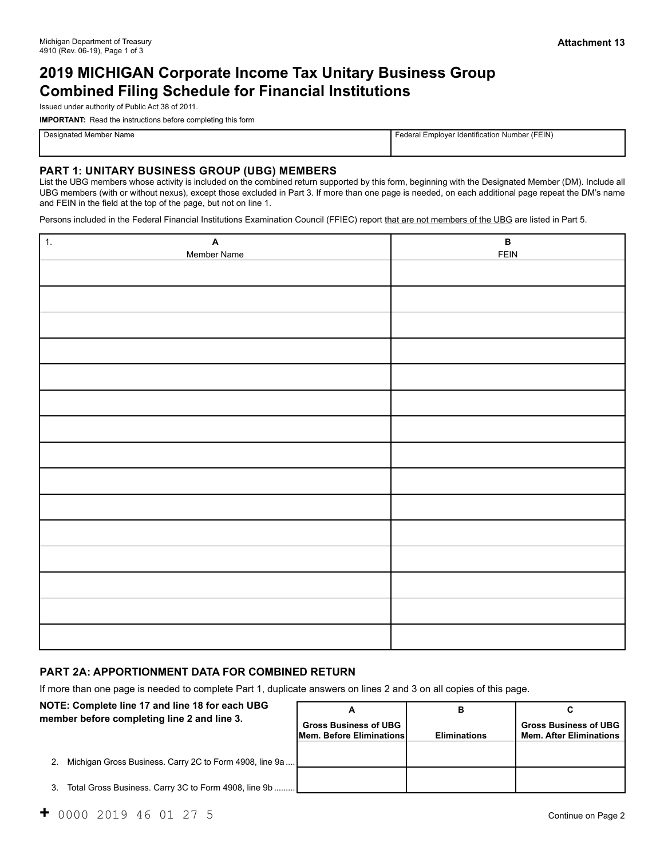# **2019 MICHIGAN Corporate Income Tax Unitary Business Group Combined Filing Schedule for Financial Institutions**

Issued under authority of Public Act 38 of 2011.

**IMPORTANT:** Read the instructions before completing this form

Designated Member Name Federal Employer Identification Number (FEIN)

## **PART 1: UNITARY BUSINESS GROUP (UBG) MEMBERS**

List the UBG members whose activity is included on the combined return supported by this form, beginning with the Designated Member (DM). Include all UBG members (with or without nexus), except those excluded in Part 3. If more than one page is needed, on each additional page repeat the DM's name and FEIN in the field at the top of the page, but not on line 1.

Persons included in the Federal Financial Institutions Examination Council (FFIEC) report that are not members of the UBG are listed in Part 5.

| $\boxed{1}$<br>$\boldsymbol{\mathsf{A}}$<br>Member Name | $\, {\bf B} \,$<br><b>FEIN</b> |
|---------------------------------------------------------|--------------------------------|
|                                                         |                                |
|                                                         |                                |
|                                                         |                                |
|                                                         |                                |
|                                                         |                                |
|                                                         |                                |
|                                                         |                                |
|                                                         |                                |
|                                                         |                                |
|                                                         |                                |
|                                                         |                                |
|                                                         |                                |
|                                                         |                                |
|                                                         |                                |
|                                                         |                                |

#### **PART 2A: APPORTIONMENT DATA FOR COMBINED RETURN**

If more than one page is needed to complete Part 1, duplicate answers on lines 2 and 3 on all copies of this page.

| NOTE: Complete line 17 and line 18 for each UBG         |                              | в                   |                                |
|---------------------------------------------------------|------------------------------|---------------------|--------------------------------|
| member before completing line 2 and line 3.             | <b>Gross Business of UBG</b> |                     | <b>Gross Business of UBG</b>   |
|                                                         | Mem. Before Eliminations     | <b>Eliminations</b> | <b>Mem. After Eliminations</b> |
| Michigan Gross Business. Carry 2C to Form 4908, line 9a |                              |                     |                                |
| Total Gross Business. Carry 3C to Form 4908, line 9b    |                              |                     |                                |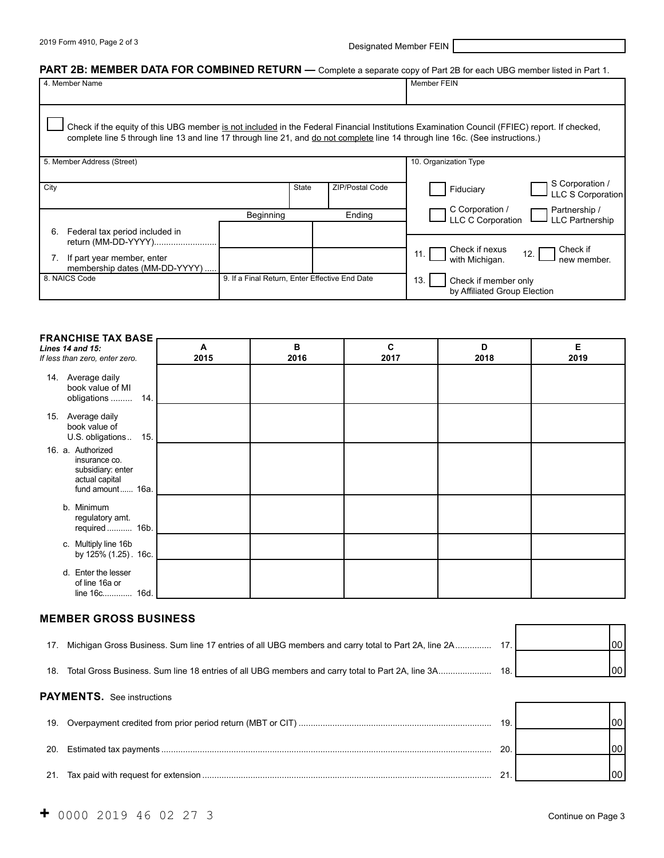2019 Form 4910, Page 2 of 3 **Designated Member FEIN** 

## PART 2B: MEMBER DATA FOR COMBINED RETURN — Complete a separate copy of Part 2B for each UBG member listed in Part 1.

| 4. Member Name                                                                                                                 |                                                |              |                 | Member FEIN                                                                                                                                  |
|--------------------------------------------------------------------------------------------------------------------------------|------------------------------------------------|--------------|-----------------|----------------------------------------------------------------------------------------------------------------------------------------------|
|                                                                                                                                |                                                |              |                 |                                                                                                                                              |
|                                                                                                                                |                                                |              |                 |                                                                                                                                              |
|                                                                                                                                |                                                |              |                 |                                                                                                                                              |
|                                                                                                                                |                                                |              |                 | Check if the equity of this UBG member is not included in the Federal Financial Institutions Examination Council (FFIEC) report. If checked, |
| complete line 5 through line 13 and line 17 through line 21, and do not complete line 14 through line 16c. (See instructions.) |                                                |              |                 |                                                                                                                                              |
|                                                                                                                                |                                                |              |                 |                                                                                                                                              |
|                                                                                                                                |                                                |              |                 |                                                                                                                                              |
| 5. Member Address (Street)                                                                                                     |                                                |              |                 | 10. Organization Type                                                                                                                        |
|                                                                                                                                |                                                |              |                 |                                                                                                                                              |
| City                                                                                                                           |                                                | <b>State</b> | ZIP/Postal Code | S Corporation /<br>Fiduciary                                                                                                                 |
|                                                                                                                                |                                                |              |                 | <b>LLC S Corporation</b>                                                                                                                     |
|                                                                                                                                |                                                |              |                 | Partnership /<br>C Corporation /                                                                                                             |
|                                                                                                                                | Beginning                                      |              | Ending          | <b>LLC C Corporation</b><br><b>LLC Partnership</b>                                                                                           |
| 6.                                                                                                                             |                                                |              |                 |                                                                                                                                              |
| Federal tax period included in                                                                                                 |                                                |              |                 |                                                                                                                                              |
| return (MM-DD-YYYY)                                                                                                            |                                                |              |                 | Check if nexus<br>Check if                                                                                                                   |
| If part year member, enter<br>7.                                                                                               |                                                |              |                 | 12.<br>11.<br>with Michigan.<br>new member.                                                                                                  |
| membership dates (MM-DD-YYYY)                                                                                                  |                                                |              |                 |                                                                                                                                              |
| 8. NAICS Code                                                                                                                  | 9. If a Final Return, Enter Effective End Date |              |                 | 13.<br>Check if member only                                                                                                                  |
|                                                                                                                                |                                                |              |                 | by Affiliated Group Election                                                                                                                 |
|                                                                                                                                |                                                |              |                 |                                                                                                                                              |

| <b>FRANCHISE TAX BASE</b>                                                                     |           |           |           |           |           |
|-----------------------------------------------------------------------------------------------|-----------|-----------|-----------|-----------|-----------|
| Lines 14 and 15:<br>If less than zero, enter zero.                                            | A<br>2015 | в<br>2016 | C<br>2017 | D<br>2018 | Е<br>2019 |
| 14. Average daily<br>book value of MI<br>14.<br>obligations                                   |           |           |           |           |           |
| 15. Average daily<br>book value of<br>15.<br>U.S. obligations                                 |           |           |           |           |           |
| 16. a. Authorized<br>insurance co.<br>subsidiary: enter<br>actual capital<br>fund amount 16a. |           |           |           |           |           |
| b. Minimum<br>regulatory amt.<br>required 16b.                                                |           |           |           |           |           |
| c. Multiply line 16b<br>by 125% (1.25). 16c.                                                  |           |           |           |           |           |
| d. Enter the lesser<br>of line 16a or<br>line 16c 16d.                                        |           |           |           |           |           |

#### **MEMBER GROSS BUSINESS**

| Michigan Gross Business. Sum line 17 entries of all UBG members and carry total to Part 2A, line 2A |      | 00 I  |
|-----------------------------------------------------------------------------------------------------|------|-------|
| Total Gross Business. Sum line 18 entries of all UBG members and carry total to Part 2A, line 3A    | 18.1 | 100 l |
|                                                                                                     |      |       |

| <b>PAYMENTS.</b> See instructions |    |  |
|-----------------------------------|----|--|
|                                   | 19 |  |
|                                   |    |  |
|                                   |    |  |

┑ ٦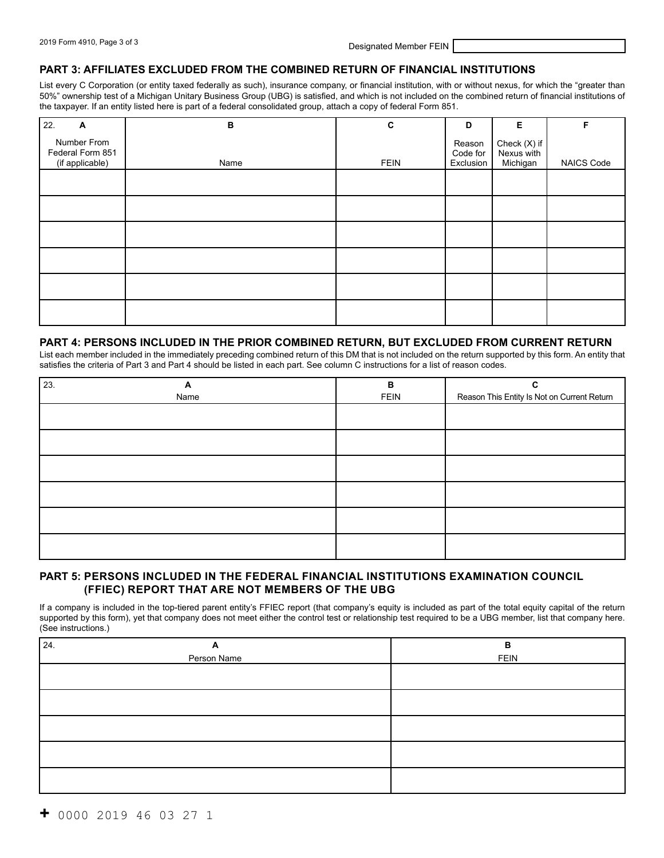#### **PART 3: AFFILIATES EXCLUDED FROM THE COMBINED RETURN OF FINANCIAL INSTITUTIONS**

List every C Corporation (or entity taxed federally as such), insurance company, or financial institution, with or without nexus, for which the "greater than 50%" ownership test of a Michigan Unitary Business Group (UBG) is satisfied, and which is not included on the combined return of financial institutions of the taxpayer. If an entity listed here is part of a federal consolidated group, attach a copy of federal Form 851.

| 22.<br>A                                           | в    | $\mathbf c$ | D                               | Е                                      | F                 |
|----------------------------------------------------|------|-------------|---------------------------------|----------------------------------------|-------------------|
| Number From<br>Federal Form 851<br>(if applicable) | Name | <b>FEIN</b> | Reason<br>Code for<br>Exclusion | Check (X) if<br>Nexus with<br>Michigan | <b>NAICS Code</b> |
|                                                    |      |             |                                 |                                        |                   |
|                                                    |      |             |                                 |                                        |                   |
|                                                    |      |             |                                 |                                        |                   |
|                                                    |      |             |                                 |                                        |                   |
|                                                    |      |             |                                 |                                        |                   |
|                                                    |      |             |                                 |                                        |                   |

#### **PART 4: PERSONS INCLUDED IN THE PRIOR COMBINED RETURN, BUT EXCLUDED FROM CURRENT RETURN**

List each member included in the immediately preceding combined return of this DM that is not included on the return supported by this form. An entity that satisfies the criteria of Part 3 and Part 4 should be listed in each part. See column C instructions for a list of reason codes.

| 23. | A    | в           | C                                           |
|-----|------|-------------|---------------------------------------------|
|     | Name | <b>FEIN</b> | Reason This Entity Is Not on Current Return |
|     |      |             |                                             |
|     |      |             |                                             |
|     |      |             |                                             |
|     |      |             |                                             |
|     |      |             |                                             |
|     |      |             |                                             |

### **PART 5: PERSONS INCLUDED IN THE FEDERAL FINANCIAL INSTITUTIONS EXAMINATION COUNCIL (FFIEC) REPORT THAT ARE NOT MEMBERS OF THE UBG**

If a company is included in the top-tiered parent entity's FFIEC report (that company's equity is included as part of the total equity capital of the return supported by this form), yet that company does not meet either the control test or relationship test required to be a UBG member, list that company here. (See instructions.)

| 24.<br>A    | B           |
|-------------|-------------|
| Person Name | <b>FEIN</b> |
|             |             |
|             |             |
|             |             |
|             |             |
|             |             |
|             |             |
|             |             |
|             |             |
|             |             |
|             |             |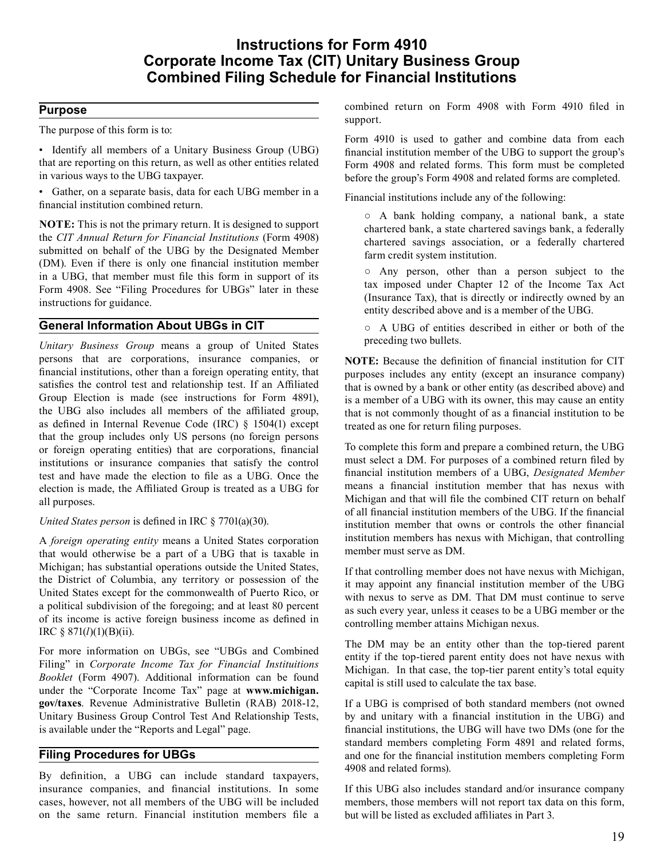## **Instructions for Form 4910 Corporate Income Tax (CIT) Unitary Business Group Combined Filing Schedule for Financial Institutions**

## **Purpose**

 The purpose of this form is to:

 • Identify all members of a Unitary Business Group (UBG) that are reporting on this return, as well as other entities related in various ways to the UBG taxpayer.

 • Gather, on a separate basis, data for each UBG member in a financial institution combined return.

 **NOTE:** This is not the primary return. It is designed to support the *CIT Annual Return for Financial Institutions* (Form 4908) submitted on behalf of the UBG by the Designated Member (DM). Even if there is only one financial institution member in a UBG, that member must file this form in support of its Form 4908. See "Filing Procedures for UBGs" later in these instructions for guidance.

## **General Information About UBGs in CIT**

 *Unitary Business Group* means a group of United States persons that are corporations, insurance companies, or financial institutions, other than a foreign operating entity, that satisfies the control test and relationship test. If an Affiliated Group Election is made (see instructions for Form 4891), the UBG also includes all members of the affiliated group, as defined in Internal Revenue Code (IRC) § 1504(1) except that the group includes only US persons (no foreign persons or foreign operating entities) that are corporations, financial institutions or insurance companies that satisfy the control test and have made the election to file as a UBG. Once the election is made, the Affiliated Group is treated as a UBG for all purposes.

#### *United States person* is defined in IRC § 7701(a)(30).

 A *foreign operating entity* means a United States corporation that would otherwise be a part of a UBG that is taxable in Michigan; has substantial operations outside the United States, the District of Columbia, any territory or possession of the United States except for the commonwealth of Puerto Rico, or a political subdivision of the foregoing; and at least 80 percent of its income is active foreign business income as defined in IRC § 871(*l*)(1)(B)(ii).

 For more information on UBGs, see "UBGs and Combined Filing" in *Corporate Income Tax for Financial Instituitions Booklet* (Form 4907). Additional information can be found under the "Corporate Income Tax" page at **<www.michigan>. gov/taxes**. Revenue Administrative Bulletin (RAB) 2018-12, Unitary Business Group Control Test And Relationship Tests, is available under the "Reports and Legal" page.

## **Filing Procedures for UBGs**

 By definition, a UBG can include standard taxpayers, insurance companies, and financial institutions. In some cases, however, not all members of the UBG will be included on the same return. Financial institution members file a

 combined return on Form 4908 with Form 4910 filed in support.

 Form 4910 is used to gather and combine data from each financial institution member of the UBG to support the group's Form 4908 and related forms. This form must be completed before the group's Form 4908 and related forms are completed.

 Financial institutions include any of the following:

 ○ A bank holding company, a national bank, a state chartered bank, a state chartered savings bank, a federally chartered savings association, or a federally chartered farm credit system institution.

 ○ Any person, other than a person subject to the tax imposed under Chapter 12 of the Income Tax Act (Insurance Tax), that is directly or indirectly owned by an entity described above and is a member of the UBG.

 ○ A UBG of entities described in either or both of the preceding two bullets.

 **NOTE:** Because the definition of financial institution for CIT purposes includes any entity (except an insurance company) that is owned by a bank or other entity (as described above) and is a member of a UBG with its owner, this may cause an entity that is not commonly thought of as a financial institution to be treated as one for return filing purposes.

 To complete this form and prepare a combined return, the UBG must select a DM. For purposes of a combined return filed by financial institution members of a UBG, *Designated Member*  means a financial institution member that has nexus with Michigan and that will file the combined CIT return on behalf of all financial institution members of the UBG. If the financial institution member that owns or controls the other financial institution members has nexus with Michigan, that controlling member must serve as DM.

 If that controlling member does not have nexus with Michigan, it may appoint any financial institution member of the UBG with nexus to serve as DM. That DM must continue to serve as such every year, unless it ceases to be a UBG member or the controlling member attains Michigan nexus.

 The DM may be an entity other than the top-tiered parent entity if the top-tiered parent entity does not have nexus with Michigan. In that case, the top-tier parent entity's total equity capital is still used to calculate the tax base.

 If a UBG is comprised of both standard members (not owned by and unitary with a financial institution in the UBG) and financial institutions, the UBG will have two DMs (one for the standard members completing Form 4891 and related forms, and one for the financial institution members completing Form 4908 and related forms).

 If this UBG also includes standard and/or insurance company members, those members will not report tax data on this form, but will be listed as excluded affiliates in Part 3.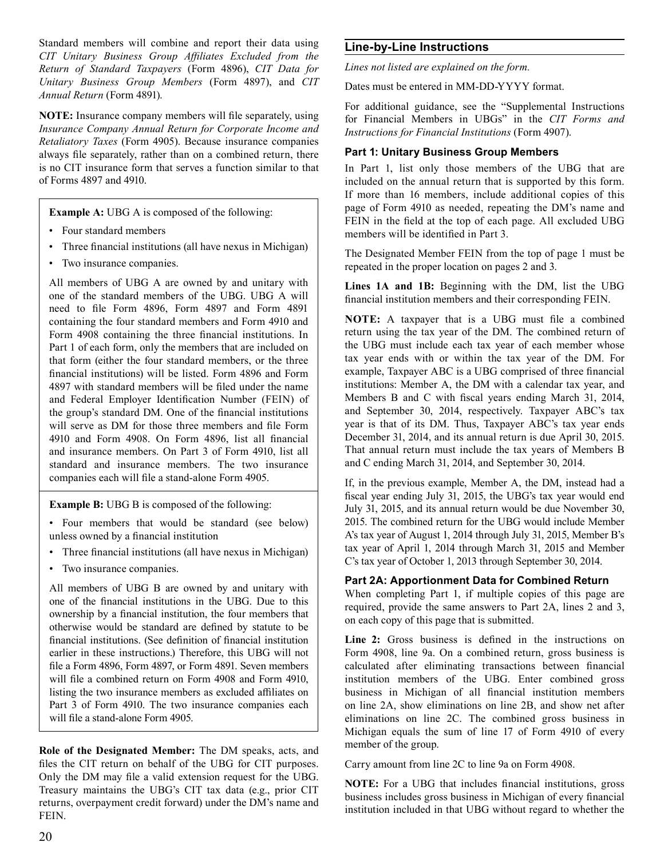Standard members will combine and report their data using *Return of Standard Taxpayers* (Form 4896), *CIT Data for Unitary Business Group Members* (Form 4897), and *CIT Annual Return* (Form 4891). *CIT Unitary Business Group Affiliates Excluded from the* 

 **NOTE:** Insurance company members will file separately, using *Retaliatory Taxes* (Form 4905). Because insurance companies always file separately, rather than on a combined return, there is no CIT insurance form that serves a function similar to that of Forms 4897 and 4910. *Insurance Company Annual Return for Corporate Income and* 

**Example A:** UBG A is composed of the following:

- Four standard members
- Three financial institutions (all have nexus in Michigan)
- Two insurance companies.

All members of UBG A are owned by and unitary with one of the standard members of the UBG. UBG A will need to file Form 4896, Form 4897 and Form 4891 containing the four standard members and Form 4910 and Form 4908 containing the three financial institutions. In Part 1 of each form, only the members that are included on that form (either the four standard members, or the three financial institutions) will be listed. Form 4896 and Form 4897 with standard members will be filed under the name and Federal Employer Identification Number (FEIN) of the group's standard DM. One of the financial institutions will serve as DM for those three members and file Form 4910 and Form 4908. On Form 4896, list all financial and insurance members. On Part 3 of Form 4910, list all standard and insurance members. The two insurance companies each will file a stand-alone Form 4905.

**Example B:** UBG B is composed of the following:

• Four members that would be standard (see below) unless owned by a financial institution

- Three financial institutions (all have nexus in Michigan)
- Two insurance companies.

All members of UBG B are owned by and unitary with one of the financial institutions in the UBG. Due to this ownership by a financial institution, the four members that otherwise would be standard are defined by statute to be financial institutions. (See definition of financial institution earlier in these instructions.) Therefore, this UBG will not file a Form 4896, Form 4897, or Form 4891. Seven members will file a combined return on Form 4908 and Form 4910, listing the two insurance members as excluded affiliates on Part 3 of Form 4910. The two insurance companies each will file a stand-alone Form 4905.

 **Role of the Designated Member:** The DM speaks, acts, and files the CIT return on behalf of the UBG for CIT purposes. Only the DM may file a valid extension request for the UBG. Treasury maintains the UBG's CIT tax data (e.g., prior CIT returns, overpayment credit forward) under the DM's name and FEIN.

### **Line-by-Line Instructions**

*Lines not listed are explained on the form.* 

 Dates must be entered in MM-DD-YYYY format.

 For additional guidance, see the "Supplemental Instructions for Financial Members in UBGs" in the *CIT Forms and Instructions for Financial Institutions* (Form 4907).

#### **Part 1: Unitary Business Group Members**

 In Part 1, list only those members of the UBG that are included on the annual return that is supported by this form. If more than 16 members, include additional copies of this page of Form 4910 as needed, repeating the DM's name and FEIN in the field at the top of each page. All excluded UBG members will be identified in Part 3.

 The Designated Member FEIN from the top of page 1 must be repeated in the proper location on pages 2 and 3.

 **Lines 1A and 1B:** Beginning with the DM, list the UBG financial institution members and their corresponding FEIN.

 **NOTE:** A taxpayer that is a UBG must file a combined return using the tax year of the DM. The combined return of the UBG must include each tax year of each member whose tax year ends with or within the tax year of the DM. For example, Taxpayer ABC is a UBG comprised of three financial institutions: Member A, the DM with a calendar tax year, and Members B and C with fiscal years ending March 31, 2014, and September 30, 2014, respectively. Taxpayer ABC's tax year is that of its DM. Thus, Taxpayer ABC's tax year ends December 31, 2014, and its annual return is due April 30, 2015. That annual return must include the tax years of Members B and C ending March 31, 2014, and September 30, 2014.

 If, in the previous example, Member A, the DM, instead had a fiscal year ending July 31, 2015, the UBG's tax year would end July 31, 2015, and its annual return would be due November 30, 2015. The combined return for the UBG would include Member A's tax year of August 1, 2014 through July 31, 2015, Member B's tax year of April 1, 2014 through March 31, 2015 and Member C's tax year of October 1, 2013 through September 30, 2014.

#### **Part 2A: Apportionment Data for Combined Return**

 When completing Part 1, if multiple copies of this page are required, provide the same answers to Part 2A, lines 2 and 3, on each copy of this page that is submitted.

 **Line 2:** Gross business is defined in the instructions on Form 4908, line 9a. On a combined return, gross business is calculated after eliminating transactions between financial institution members of the UBG. Enter combined gross business in Michigan of all financial institution members on line 2A, show eliminations on line 2B, and show net after eliminations on line 2C. The combined gross business in Michigan equals the sum of line 17 of Form 4910 of every member of the group.

 Carry amount from line 2C to line 9a on Form 4908.

 **NOTE:** For a UBG that includes financial institutions, gross business includes gross business in Michigan of every financial institution included in that UBG without regard to whether the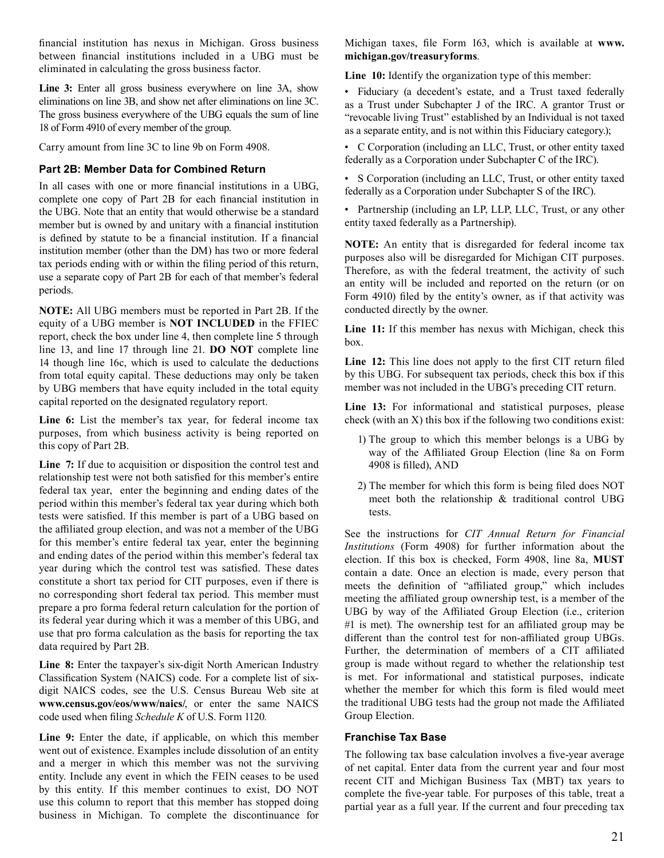financial institution has nexus in Michigan. Gross business between financial institutions included in a UBG must be eliminated in calculating the gross business factor.

 **Line 3:** Enter all gross business everywhere on line 3A, show eliminations on line 3B, and show net after eliminations on line 3C. The gross business everywhere of the UBG equals the sum of line 18 of Form 4910 of every member of the group.

 Carry amount from line 3C to line 9b on Form 4908.

#### **Part 2B: Member Data for Combined Return**

 In all cases with one or more financial institutions in a UBG, complete one copy of Part 2B for each financial institution in the UBG. Note that an entity that would otherwise be a standard member but is owned by and unitary with a financial institution is defined by statute to be a financial institution. If a financial institution member (other than the DM) has two or more federal tax periods ending with or within the filing period of this return, use a separate copy of Part 2B for each of that member's federal periods.

 **NOTE:** All UBG members must be reported in Part 2B. If the equity of a UBG member is **NOT INCLUDED** in the FFIEC report, check the box under line 4, then complete line 5 through line 13, and line 17 through line 21. **DO NOT** complete line 14 though line 16c, which is used to calculate the deductions from total equity capital. These deductions may only be taken by UBG members that have equity included in the total equity capital reported on the designated regulatory report.

 **Line 6:** List the member's tax year, for federal income tax purposes, from which business activity is being reported on this copy of Part 2B.

 **Line 7:** If due to acquisition or disposition the control test and relationship test were not both satisfied for this member's entire federal tax year, enter the beginning and ending dates of the period within this member's federal tax year during which both tests were satisfied. If this member is part of a UBG based on the affiliated group election, and was not a member of the UBG for this member's entire federal tax year, enter the beginning and ending dates of the period within this member's federal tax year during which the control test was satisfied. These dates constitute a short tax period for CIT purposes, even if there is no corresponding short federal tax period. This member must prepare a pro forma federal return calculation for the portion of its federal year during which it was a member of this UBG, and use that pro forma calculation as the basis for reporting the tax data required by Part 2B.

 **Line 8:** Enter the taxpayer's six-digit North American Industry Classification System (NAICS) code. For a complete list of six- digit NAICS codes, see the U.S. Census Bureau Web site at **<www.census.gov/eos/www/naics>/**, or enter the same NAICS code used when filing *Schedule K* of U.S. Form 1120*.* 

 **Line 9:** Enter the date, if applicable, on which this member went out of existence. Examples include dissolution of an entity and a merger in which this member was not the surviving entity. Include any event in which the FEIN ceases to be used by this entity. If this member continues to exist, DO NOT use this column to report that this member has stopped doing business in Michigan. To complete the discontinuance for

 Michigan taxes, file Form 163, which is available at **www. [michigan.gov/treasuryforms](https://michigan.gov/treasuryforms)**.

 **Line 10:** Identify the organization type of this member:

 • Fiduciary (a decedent's estate, and a Trust taxed federally as a Trust under Subchapter J of the IRC. A grantor Trust or "revocable living Trust" established by an Individual is not taxed as a separate entity, and is not within this Fiduciary category.);

 • C Corporation (including an LLC, Trust, or other entity taxed federally as a Corporation under Subchapter C of the IRC).

 • S Corporation (including an LLC, Trust, or other entity taxed federally as a Corporation under Subchapter S of the IRC).

 • Partnership (including an LP, LLP, LLC, Trust, or any other entity taxed federally as a Partnership).

 **NOTE:** An entity that is disregarded for federal income tax purposes also will be disregarded for Michigan CIT purposes. Therefore, as with the federal treatment, the activity of such an entity will be included and reported on the return (or on Form 4910) filed by the entity's owner, as if that activity was conducted directly by the owner.

 **Line 11:** If this member has nexus with Michigan, check this box.

 **Line 12:** This line does not apply to the first CIT return filed by this UBG. For subsequent tax periods, check this box if this member was not included in the UBG's preceding CIT return.

 **Line 13:** For informational and statistical purposes, please check (with an X) this box if the following two conditions exist:

- 1) The group to which this member belongs is a UBG by way of the Affiliated Group Election (line 8a on Form 4908 is filled), AND
- 2) The member for which this form is being filed does NOT meet both the relationship & traditional control UBG tests.

 See the instructions for *CIT Annual Return for Financial Institutions* (Form 4908) for further information about the election. If this box is checked, Form 4908, line 8a, **MUST**  contain a date. Once an election is made, every person that meets the definition of "affiliated group," which includes meeting the affiliated group ownership test, is a member of the UBG by way of the Affiliated Group Election (i.e., criterion #1 is met). The ownership test for an affiliated group may be different than the control test for non-affiliated group UBGs. Further, the determination of members of a CIT affiliated group is made without regard to whether the relationship test is met. For informational and statistical purposes, indicate whether the member for which this form is filed would meet the traditional UBG tests had the group not made the Affiliated Group Election.

#### **Franchise Tax Base**

 The following tax base calculation involves a five-year average of net capital. Enter data from the current year and four most recent CIT and Michigan Business Tax (MBT) tax years to complete the five-year table. For purposes of this table, treat a partial year as a full year. If the current and four preceding tax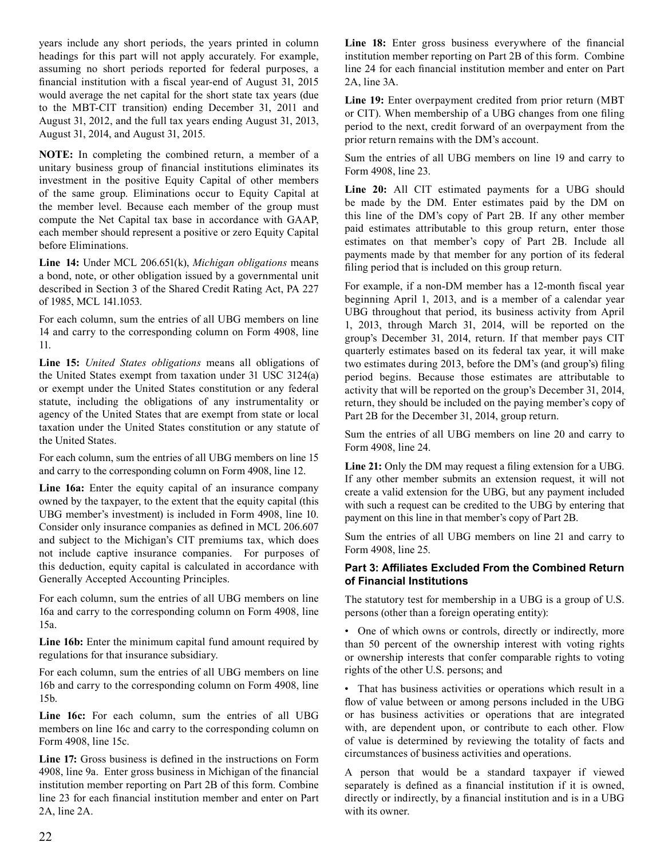years include any short periods, the years printed in column headings for this part will not apply accurately. For example, assuming no short periods reported for federal purposes, a financial institution with a fiscal year-end of August 31, 2015 would average the net capital for the short state tax years (due to the MBT-CIT transition) ending December 31, 2011 and August 31, 2012, and the full tax years ending August 31, 2013, August 31, 2014, and August 31, 2015.

 **NOTE:** In completing the combined return, a member of a unitary business group of financial institutions eliminates its investment in the positive Equity Capital of other members of the same group. Eliminations occur to Equity Capital at the member level. Because each member of the group must compute the Net Capital tax base in accordance with GAAP, each member should represent a positive or zero Equity Capital before Eliminations.

 **Line 14:** Under MCL 206.651(k), *Michigan obligations* means a bond, note, or other obligation issued by a governmental unit described in Section 3 of the Shared Credit Rating Act, PA 227 of 1985, MCL 141.1053.

 For each column, sum the entries of all UBG members on line 14 and carry to the corresponding column on Form 4908, line 11.

 **Line 15:** *United States obligations* means all obligations of the United States exempt from taxation under 31 USC 3124(a) or exempt under the United States constitution or any federal statute, including the obligations of any instrumentality or agency of the United States that are exempt from state or local taxation under the United States constitution or any statute of the United States.

 For each column, sum the entries of all UBG members on line 15 and carry to the corresponding column on Form 4908, line 12.

 **Line 16a:** Enter the equity capital of an insurance company owned by the taxpayer, to the extent that the equity capital (this UBG member's investment) is included in Form 4908, line 10. Consider only insurance companies as defined in MCL 206.607 and subject to the Michigan's CIT premiums tax, which does not include captive insurance companies. For purposes of this deduction, equity capital is calculated in accordance with Generally Accepted Accounting Principles.

 For each column, sum the entries of all UBG members on line 16a and carry to the corresponding column on Form 4908, line 15a.

 **Line 16b:** Enter the minimum capital fund amount required by regulations for that insurance subsidiary.

 For each column, sum the entries of all UBG members on line 16b and carry to the corresponding column on Form 4908, line 15b.

 **Line 16c:** For each column, sum the entries of all UBG members on line 16c and carry to the corresponding column on Form 4908, line 15c.

 **Line 17:** Gross business is defined in the instructions on Form 4908, line 9a. Enter gross business in Michigan of the financial institution member reporting on Part 2B of this form. Combine line 23 for each financial institution member and enter on Part 2A, line 2A.

 **Line 18:** Enter gross business everywhere of the financial institution member reporting on Part 2B of this form. Combine line 24 for each financial institution member and enter on Part 2A, line 3A.

 **Line 19:** Enter overpayment credited from prior return (MBT or CIT). When membership of a UBG changes from one filing period to the next, credit forward of an overpayment from the prior return remains with the DM's account.

 Sum the entries of all UBG members on line 19 and carry to Form 4908, line 23.

 **Line 20:** All CIT estimated payments for a UBG should be made by the DM. Enter estimates paid by the DM on this line of the DM's copy of Part 2B. If any other member paid estimates attributable to this group return, enter those estimates on that member's copy of Part 2B. Include all payments made by that member for any portion of its federal filing period that is included on this group return.

 For example, if a non-DM member has a 12-month fiscal year beginning April 1, 2013, and is a member of a calendar year UBG throughout that period, its business activity from April 1, 2013, through March 31, 2014, will be reported on the group's December 31, 2014, return. If that member pays CIT quarterly estimates based on its federal tax year, it will make two estimates during 2013, before the DM's (and group's) filing period begins. Because those estimates are attributable to activity that will be reported on the group's December 31, 2014, return, they should be included on the paying member's copy of Part 2B for the December 31, 2014, group return.

 Sum the entries of all UBG members on line 20 and carry to Form 4908, line 24.

 **Line 21:** Only the DM may request a filing extension for a UBG. If any other member submits an extension request, it will not create a valid extension for the UBG, but any payment included with such a request can be credited to the UBG by entering that payment on this line in that member's copy of Part 2B.

 Sum the entries of all UBG members on line 21 and carry to Form 4908, line 25.

## **Part 3: Affiliates Excluded From the Combined Return of Financial Institutions**

 The statutory test for membership in a UBG is a group of U.S. persons (other than a foreign operating entity):

 • One of which owns or controls, directly or indirectly, more than 50 percent of the ownership interest with voting rights or ownership interests that confer comparable rights to voting rights of the other U.S. persons; and

 • That has business activities or operations which result in a flow of value between or among persons included in the UBG or has business activities or operations that are integrated with, are dependent upon, or contribute to each other. Flow of value is determined by reviewing the totality of facts and circumstances of business activities and operations.

 A person that would be a standard taxpayer if viewed separately is defined as a financial institution if it is owned, directly or indirectly, by a financial institution and is in a UBG with its owner.